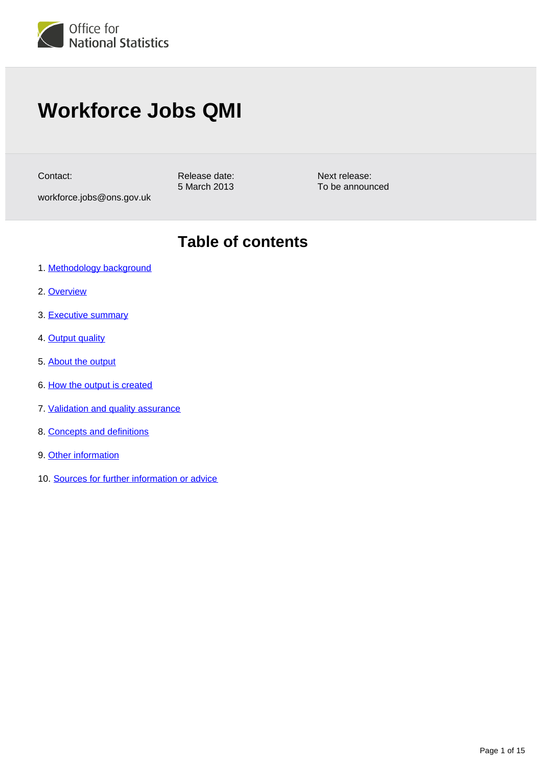

# **Workforce Jobs QMI**

Contact:

Release date: 5 March 2013

workforce.jobs@ons.gov.uk

**Table of contents**

Next release: To be announced

- 1. [Methodology background](#page-1-0)
- 2. [Overview](#page-1-1)
- 3. [Executive summary](#page-1-2)
- 4. [Output quality](#page-2-0)
- 5. [About the output](#page-2-1)
- 6. [How the output is created](#page-5-0)
- 7. [Validation and quality assurance](#page-10-0)
- 8. [Concepts and definitions](#page-12-0)
- 9. [Other information](#page-13-0)
- 10. [Sources for further information or advice](#page-13-1)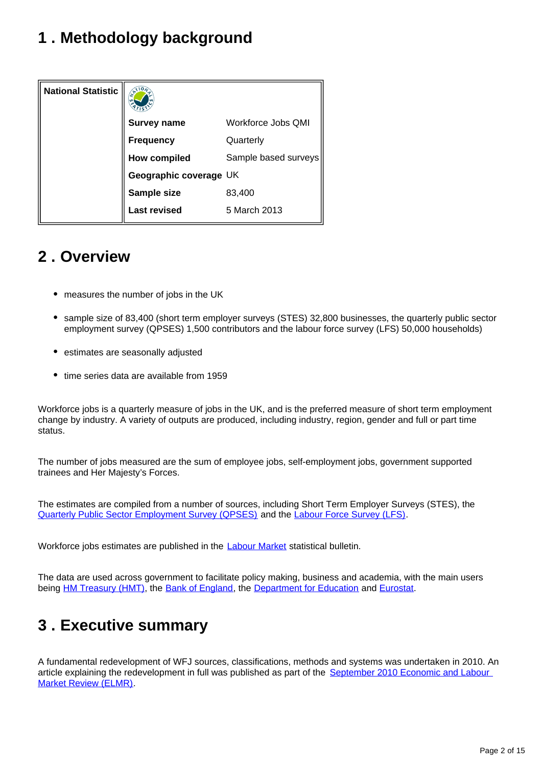## <span id="page-1-0"></span>**1 . Methodology background**

| <b>National Statistic</b> | $\mathcal{R}$          |                      |
|---------------------------|------------------------|----------------------|
|                           | <b>Survey name</b>     | Workforce Jobs QMI   |
|                           | <b>Frequency</b>       | Quarterly            |
|                           | <b>How compiled</b>    | Sample based surveys |
|                           | Geographic coverage UK |                      |
|                           | Sample size            | 83,400               |
|                           | <b>Last revised</b>    | 5 March 2013         |

## <span id="page-1-1"></span>**2 . Overview**

- measures the number of jobs in the UK
- sample size of 83,400 (short term employer surveys (STES) 32,800 businesses, the quarterly public sector employment survey (QPSES) 1,500 contributors and the labour force survey (LFS) 50,000 households)
- estimates are seasonally adjusted
- time series data are available from 1959

Workforce jobs is a quarterly measure of jobs in the UK, and is the preferred measure of short term employment change by industry. A variety of outputs are produced, including industry, region, gender and full or part time status.

The number of jobs measured are the sum of employee jobs, self-employment jobs, government supported trainees and Her Majesty's Forces.

The estimates are compiled from a number of sources, including Short Term Employer Surveys (STES), the [Quarterly Public Sector Employment Survey \(QPSES\)](http://www.ons.gov.uk/ons/about-ons/get-involved/taking-part-in-a-survey/information-for-businesses/a-to-z-of-business-surveys/quarterly-public-sector-employment-survey/index.html) and the [Labour Force Survey \(LFS\).](http://www.ons.gov.uk/ons/about-ons/get-involved/taking-part-in-a-survey/information-for-households/a-to-z-of-household-and-individual-surveys/labour-force-survey/index.html)

Workforce jobs estimates are published in the **Labour Market** statistical bulletin.

The data are used across government to facilitate policy making, business and academia, with the main users being [HM Treasury \(HMT\)](https://www.gov.uk/government/organisations/hm-treasury), the [Bank of England](http://www.bankofengland.co.uk/Pages/home.aspx), the [Department for Education](https://www.gov.uk/government/organisations/department-for-education) and [Eurostat.](http://ec.europa.eu/eurostat)

## <span id="page-1-2"></span>**3 . Executive summary**

A fundamental redevelopment of WFJ sources, classifications, methods and systems was undertaken in 2010. An article explaining the redevelopment in full was published as part of the September 2010 Economic and Labour [Market Review \(ELMR\)](http://www.ons.gov.uk/ons/rel/elmr/economic-and-labour-market-review/no--9--september-2010/revisions-to-workforce-jobs.pdf).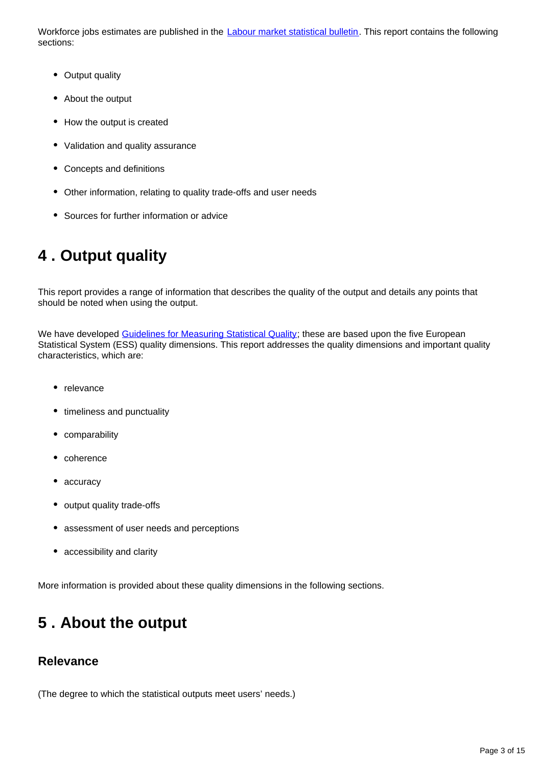Workforce jobs estimates are published in the [Labour market statistical bulletin](http://www.ons.gov.uk/ons/taxonomy/index.html?nscl=Labour%2BMarket). This report contains the following sections:

- Output quality
- About the output
- How the output is created
- Validation and quality assurance
- Concepts and definitions
- Other information, relating to quality trade-offs and user needs
- Sources for further information or advice

## <span id="page-2-0"></span>**4 . Output quality**

This report provides a range of information that describes the quality of the output and details any points that should be noted when using the output.

We have developed [Guidelines for Measuring Statistical Quality;](http://www.ons.gov.uk/ons/guide-method/method-quality/quality/guidelines-for-measuring-statistical-quality/index.html) these are based upon the five European Statistical System (ESS) quality dimensions. This report addresses the quality dimensions and important quality characteristics, which are:

- relevance
- timeliness and punctuality
- comparability
- coherence
- accuracy
- output quality trade-offs
- assessment of user needs and perceptions
- accessibility and clarity

More information is provided about these quality dimensions in the following sections.

## <span id="page-2-1"></span>**5 . About the output**

#### **Relevance**

(The degree to which the statistical outputs meet users' needs.)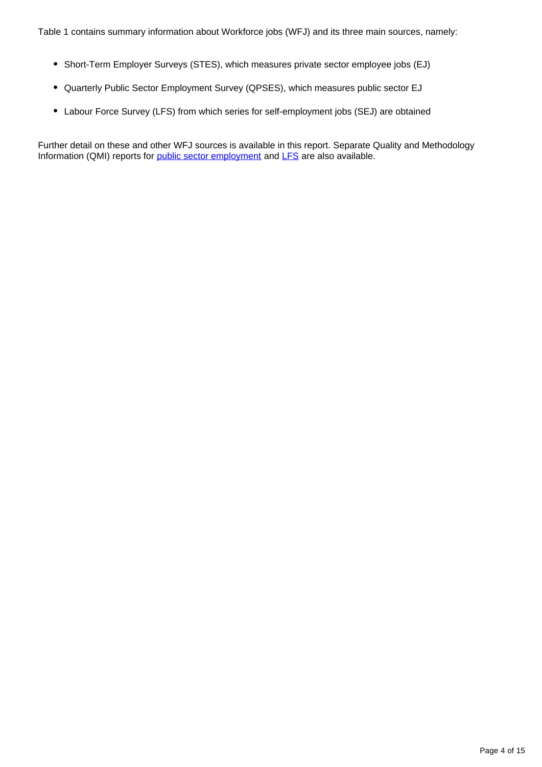- Short-Term Employer Surveys (STES), which measures private sector employee jobs (EJ)
- Quarterly Public Sector Employment Survey (QPSES), which measures public sector EJ
- Labour Force Survey (LFS) from which series for self-employment jobs (SEJ) are obtained

Further detail on these and other WFJ sources is available in this report. Separate Quality and Methodology Information (QMI) reports for [public sector employment](https://www.ons.gov.uk/employmentandlabourmarket/peopleinwork/publicsectorpersonnel/qmis/publicsectoremploymentqmi) and [LFS](https://www.ons.gov.uk/employmentandlabourmarket/peopleinwork/employmentandemployeetypes/qmis/labourforcesurveylfsqmi) are also available.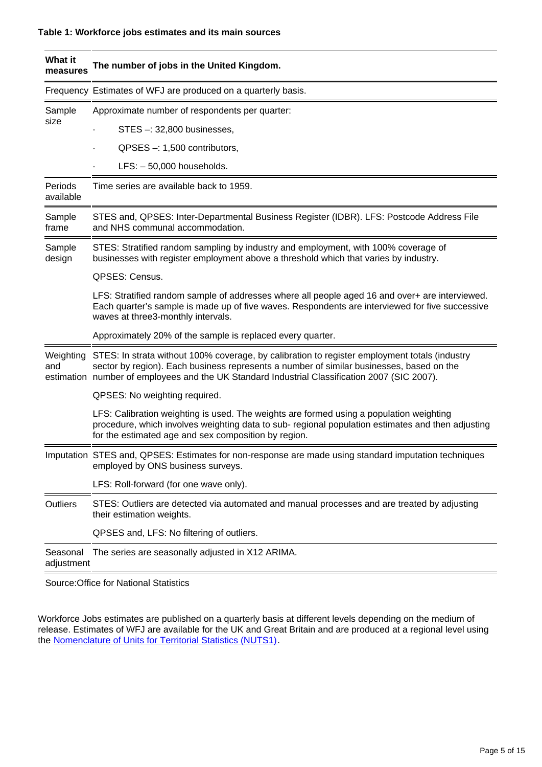| What it<br>measures    | The number of jobs in the United Kingdom.                                                                                                                                                                                                                                                  |  |
|------------------------|--------------------------------------------------------------------------------------------------------------------------------------------------------------------------------------------------------------------------------------------------------------------------------------------|--|
|                        | Frequency Estimates of WFJ are produced on a quarterly basis.                                                                                                                                                                                                                              |  |
| Sample<br>size         | Approximate number of respondents per quarter:                                                                                                                                                                                                                                             |  |
|                        | STES -: 32,800 businesses,                                                                                                                                                                                                                                                                 |  |
|                        | $QPSES -: 1,500$ contributors,                                                                                                                                                                                                                                                             |  |
|                        | $LFS: -50,000$ households.                                                                                                                                                                                                                                                                 |  |
| Periods<br>available   | Time series are available back to 1959.                                                                                                                                                                                                                                                    |  |
| Sample<br>frame        | STES and, QPSES: Inter-Departmental Business Register (IDBR). LFS: Postcode Address File<br>and NHS communal accommodation.                                                                                                                                                                |  |
| Sample<br>design       | STES: Stratified random sampling by industry and employment, with 100% coverage of<br>businesses with register employment above a threshold which that varies by industry.                                                                                                                 |  |
|                        | <b>QPSES: Census.</b>                                                                                                                                                                                                                                                                      |  |
|                        | LFS: Stratified random sample of addresses where all people aged 16 and over+ are interviewed.<br>Each quarter's sample is made up of five waves. Respondents are interviewed for five successive<br>waves at three3-monthly intervals.                                                    |  |
|                        | Approximately 20% of the sample is replaced every quarter.                                                                                                                                                                                                                                 |  |
| Weighting<br>and       | STES: In strata without 100% coverage, by calibration to register employment totals (industry<br>sector by region). Each business represents a number of similar businesses, based on the<br>estimation number of employees and the UK Standard Industrial Classification 2007 (SIC 2007). |  |
|                        | QPSES: No weighting required.                                                                                                                                                                                                                                                              |  |
|                        | LFS: Calibration weighting is used. The weights are formed using a population weighting<br>procedure, which involves weighting data to sub- regional population estimates and then adjusting<br>for the estimated age and sex composition by region.                                       |  |
|                        | Imputation STES and, QPSES: Estimates for non-response are made using standard imputation techniques<br>employed by ONS business surveys.                                                                                                                                                  |  |
|                        | LFS: Roll-forward (for one wave only).                                                                                                                                                                                                                                                     |  |
| <b>Outliers</b>        | STES: Outliers are detected via automated and manual processes and are treated by adjusting<br>their estimation weights.                                                                                                                                                                   |  |
|                        | QPSES and, LFS: No filtering of outliers.                                                                                                                                                                                                                                                  |  |
| Seasonal<br>adjustment | The series are seasonally adjusted in X12 ARIMA.                                                                                                                                                                                                                                           |  |

Source:Office for National Statistics

Workforce Jobs estimates are published on a quarterly basis at different levels depending on the medium of release. Estimates of WFJ are available for the UK and Great Britain and are produced at a regional level using the **Nomenclature of Units for Territorial Statistics (NUTS1)**.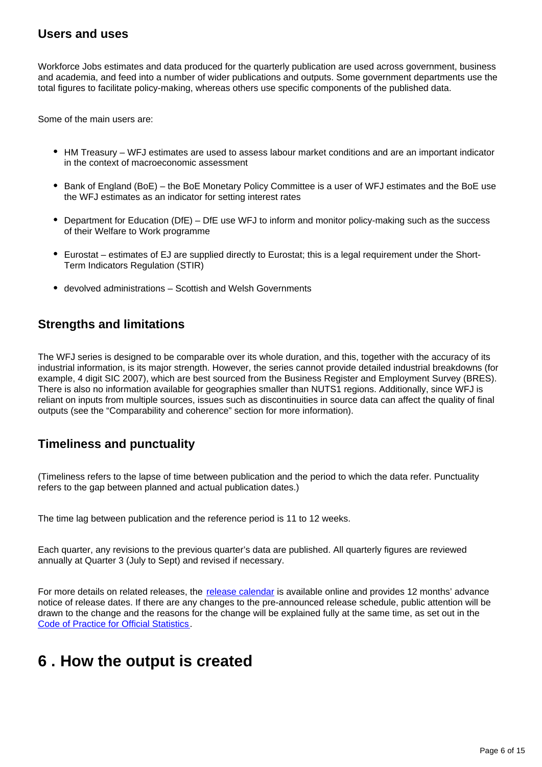#### **Users and uses**

Workforce Jobs estimates and data produced for the quarterly publication are used across government, business and academia, and feed into a number of wider publications and outputs. Some government departments use the total figures to facilitate policy-making, whereas others use specific components of the published data.

Some of the main users are:

- HM Treasury WFJ estimates are used to assess labour market conditions and are an important indicator in the context of macroeconomic assessment
- Bank of England (BoE) the BoE Monetary Policy Committee is a user of WFJ estimates and the BoE use the WFJ estimates as an indicator for setting interest rates
- Department for Education (DfE) DfE use WFJ to inform and monitor policy-making such as the success of their Welfare to Work programme
- Eurostat estimates of EJ are supplied directly to Eurostat; this is a legal requirement under the Short-Term Indicators Regulation (STIR)
- devolved administrations Scottish and Welsh Governments

#### **Strengths and limitations**

The WFJ series is designed to be comparable over its whole duration, and this, together with the accuracy of its industrial information, is its major strength. However, the series cannot provide detailed industrial breakdowns (for example, 4 digit SIC 2007), which are best sourced from the Business Register and Employment Survey (BRES). There is also no information available for geographies smaller than NUTS1 regions. Additionally, since WFJ is reliant on inputs from multiple sources, issues such as discontinuities in source data can affect the quality of final outputs (see the "Comparability and coherence" section for more information).

### **Timeliness and punctuality**

(Timeliness refers to the lapse of time between publication and the period to which the data refer. Punctuality refers to the gap between planned and actual publication dates.)

The time lag between publication and the reference period is 11 to 12 weeks.

Each quarter, any revisions to the previous quarter's data are published. All quarterly figures are reviewed annually at Quarter 3 (July to Sept) and revised if necessary.

For more details on related releases, the [release calendar](https://www.ons.gov.uk/releasecalendar) is available online and provides 12 months' advance notice of release dates. If there are any changes to the pre-announced release schedule, public attention will be drawn to the change and the reasons for the change will be explained fully at the same time, as set out in the [Code of Practice for Official Statistics.](http://www.statisticsauthority.gov.uk/assessment/code-of-practice/index.html)

## <span id="page-5-0"></span>**6 . How the output is created**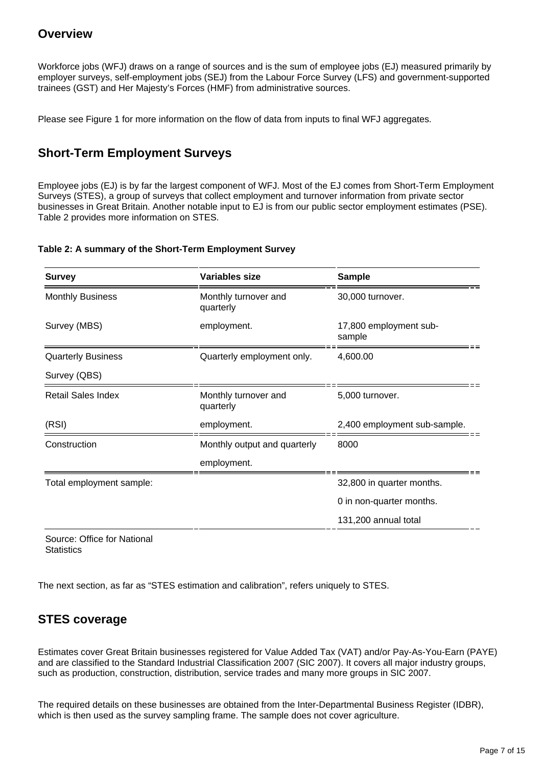#### **Overview**

Workforce jobs (WFJ) draws on a range of sources and is the sum of employee jobs (EJ) measured primarily by employer surveys, self-employment jobs (SEJ) from the Labour Force Survey (LFS) and government-supported trainees (GST) and Her Majesty's Forces (HMF) from administrative sources.

Please see Figure 1 for more information on the flow of data from inputs to final WFJ aggregates.

## **Short-Term Employment Surveys**

Employee jobs (EJ) is by far the largest component of WFJ. Most of the EJ comes from Short-Term Employment Surveys (STES), a group of surveys that collect employment and turnover information from private sector businesses in Great Britain. Another notable input to EJ is from our public sector employment estimates (PSE). Table 2 provides more information on STES.

#### **Table 2: A summary of the Short-Term Employment Survey**

| <b>Survey</b>             | Variables size                    | <b>Sample</b>                    |
|---------------------------|-----------------------------------|----------------------------------|
| <b>Monthly Business</b>   | Monthly turnover and<br>quarterly | 30,000 turnover.                 |
| Survey (MBS)              | employment.                       | 17,800 employment sub-<br>sample |
| <b>Quarterly Business</b> | Quarterly employment only.        | 4,600.00                         |
| Survey (QBS)              |                                   |                                  |
| <b>Retail Sales Index</b> | Monthly turnover and<br>quarterly | 5,000 turnover.                  |
| (RSI)                     | employment.                       | 2,400 employment sub-sample.     |
| Construction              | Monthly output and quarterly      | 8000                             |
|                           | employment.                       |                                  |
| Total employment sample:  |                                   | 32,800 in quarter months.        |
|                           |                                   | 0 in non-quarter months.         |
|                           |                                   | 131,200 annual total             |

Source: Office for National **Statistics** 

The next section, as far as "STES estimation and calibration", refers uniquely to STES.

### **STES coverage**

Estimates cover Great Britain businesses registered for Value Added Tax (VAT) and/or Pay-As-You-Earn (PAYE) and are classified to the Standard Industrial Classification 2007 (SIC 2007). It covers all major industry groups, such as production, construction, distribution, service trades and many more groups in SIC 2007.

The required details on these businesses are obtained from the Inter-Departmental Business Register (IDBR), which is then used as the survey sampling frame. The sample does not cover agriculture.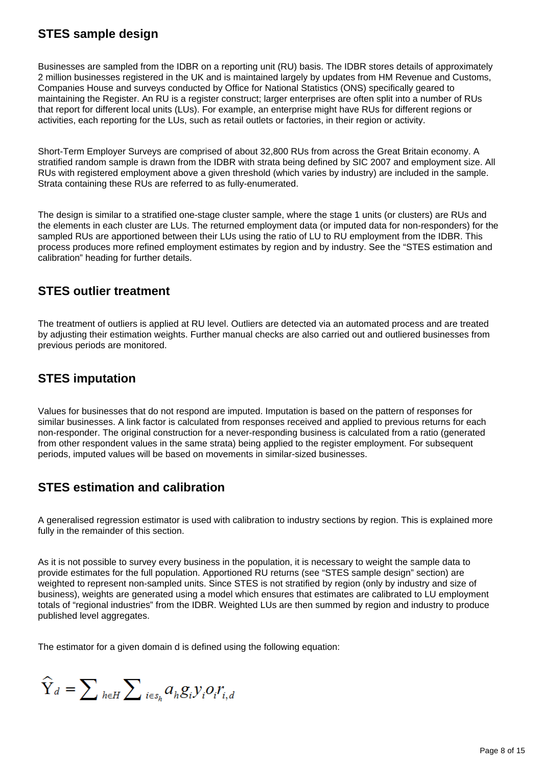## **STES sample design**

Businesses are sampled from the IDBR on a reporting unit (RU) basis. The IDBR stores details of approximately 2 million businesses registered in the UK and is maintained largely by updates from HM Revenue and Customs, Companies House and surveys conducted by Office for National Statistics (ONS) specifically geared to maintaining the Register. An RU is a register construct; larger enterprises are often split into a number of RUs that report for different local units (LUs). For example, an enterprise might have RUs for different regions or activities, each reporting for the LUs, such as retail outlets or factories, in their region or activity.

Short-Term Employer Surveys are comprised of about 32,800 RUs from across the Great Britain economy. A stratified random sample is drawn from the IDBR with strata being defined by SIC 2007 and employment size. All RUs with registered employment above a given threshold (which varies by industry) are included in the sample. Strata containing these RUs are referred to as fully-enumerated.

The design is similar to a stratified one-stage cluster sample, where the stage 1 units (or clusters) are RUs and the elements in each cluster are LUs. The returned employment data (or imputed data for non-responders) for the sampled RUs are apportioned between their LUs using the ratio of LU to RU employment from the IDBR. This process produces more refined employment estimates by region and by industry. See the "STES estimation and calibration" heading for further details.

#### **STES outlier treatment**

The treatment of outliers is applied at RU level. Outliers are detected via an automated process and are treated by adjusting their estimation weights. Further manual checks are also carried out and outliered businesses from previous periods are monitored.

## **STES imputation**

Values for businesses that do not respond are imputed. Imputation is based on the pattern of responses for similar businesses. A link factor is calculated from responses received and applied to previous returns for each non-responder. The original construction for a never-responding business is calculated from a ratio (generated from other respondent values in the same strata) being applied to the register employment. For subsequent periods, imputed values will be based on movements in similar-sized businesses.

## **STES estimation and calibration**

A generalised regression estimator is used with calibration to industry sections by region. This is explained more fully in the remainder of this section.

As it is not possible to survey every business in the population, it is necessary to weight the sample data to provide estimates for the full population. Apportioned RU returns (see "STES sample design" section) are weighted to represent non-sampled units. Since STES is not stratified by region (only by industry and size of business), weights are generated using a model which ensures that estimates are calibrated to LU employment totals of "regional industries" from the IDBR. Weighted LUs are then summed by region and industry to produce published level aggregates.

The estimator for a given domain d is defined using the following equation:

 $\widehat{\mathbf{Y}}_d = \sum_{h \in H} \sum_{i \in s_h} a_h g_i y_i o_i r_{i,d}$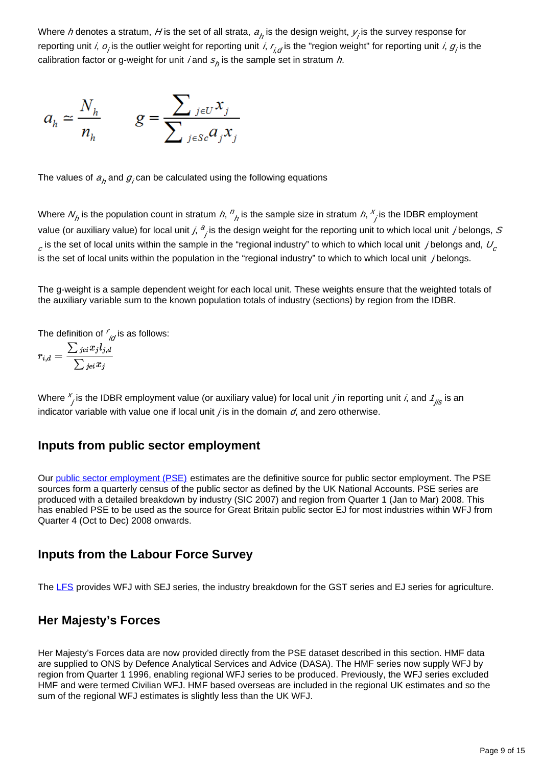Where *h* denotes a stratum, *H* is the set of all strata,  $a_p$  is the design weight,  $y_j$  is the survey response for reporting unit *i,*  $o_j$ is the outlier weight for reporting unit *i, r<sub>i,d</sub>* is the "region weight" for reporting unit *i, g<sub>i</sub>* is the calibration factor or g-weight for unit *i* and  $s_{\rho}$  is the sample set in stratum *h*.

$$
a_h \simeq \frac{N_h}{n_h} \qquad g = \frac{\sum_{j \in U} x_j}{\sum_{j \in Sc} a_j x_j}
$$

The values of  $a_{h}^{}$  and  $g_{j}^{}$ can be calculated using the following equations

Where  $N_p$  is the population count in stratum  $h$ ,  $n_{\overline{h}}$  is the sample size in stratum  $h$ ,  $\frac{x}{\overline{h}}$  is the IDBR employment value (or auxiliary value) for local unit *j*,  $^a$ <sub>j</sub> is the design weight for the reporting unit to which local unit *j* belongs, S  $_c$  is the set of local units within the sample in the "regional industry" to which to which local unit sibelongs and,  $U_c$ is the set of local units within the population in the "regional industry" to which to which local unit  $j$  belongs.

The g-weight is a sample dependent weight for each local unit. These weights ensure that the weighted totals of the auxiliary variable sum to the known population totals of industry (sections) by region from the IDBR.

The definition of  $\frac{r}{i\sigma}$ is as follows:

$$
r_{i,d} = \frac{\sum_{jei} x_j l_{j,d}}{\sum_{jei} x_j}
$$

Where  $x_j$  is the IDBR employment value (or auxiliary value) for local unit *j* in reporting unit *i*, and  $\frac{1}{1}$  is an indicator variable with value one if local unit  $j$  is in the domain  $d$ , and zero otherwise.

#### **Inputs from public sector employment**

Our [public sector employment \(PSE\)](https://www.ons.gov.uk/employmentandlabourmarket/peopleinwork/publicsectorpersonnel/bulletins/publicsectoremployment/previousReleases) estimates are the definitive source for public sector employment. The PSE sources form a quarterly census of the public sector as defined by the UK National Accounts. PSE series are produced with a detailed breakdown by industry (SIC 2007) and region from Quarter 1 (Jan to Mar) 2008. This has enabled PSE to be used as the source for Great Britain public sector EJ for most industries within WFJ from Quarter 4 (Oct to Dec) 2008 onwards.

#### **Inputs from the Labour Force Survey**

The [LFS](http://www.ons.gov.uk/ons/guide-method/method-quality/specific/labour-market/labour-market-statistics/index.html) provides WFJ with SEJ series, the industry breakdown for the GST series and EJ series for agriculture.

#### **Her Majesty's Forces**

Her Majesty's Forces data are now provided directly from the PSE dataset described in this section. HMF data are supplied to ONS by Defence Analytical Services and Advice (DASA). The HMF series now supply WFJ by region from Quarter 1 1996, enabling regional WFJ series to be produced. Previously, the WFJ series excluded HMF and were termed Civilian WFJ. HMF based overseas are included in the regional UK estimates and so the sum of the regional WFJ estimates is slightly less than the UK WFJ.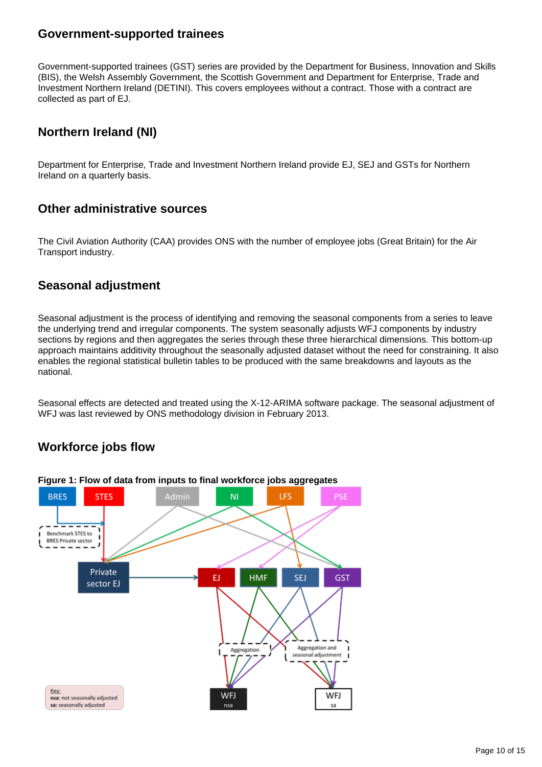#### **Government-supported trainees**

Government-supported trainees (GST) series are provided by the Department for Business, Innovation and Skills (BIS), the Welsh Assembly Government, the Scottish Government and Department for Enterprise, Trade and Investment Northern Ireland (DETINI). This covers employees without a contract. Those with a contract are collected as part of EJ.

## **Northern Ireland (NI)**

Department for Enterprise, Trade and Investment Northern Ireland provide EJ, SEJ and GSTs for Northern Ireland on a quarterly basis.

#### **Other administrative sources**

The Civil Aviation Authority (CAA) provides ONS with the number of employee jobs (Great Britain) for the Air Transport industry.

#### **Seasonal adjustment**

Seasonal adjustment is the process of identifying and removing the seasonal components from a series to leave the underlying trend and irregular components. The system seasonally adjusts WFJ components by industry sections by regions and then aggregates the series through these three hierarchical dimensions. This bottom-up approach maintains additivity throughout the seasonally adjusted dataset without the need for constraining. It also enables the regional statistical bulletin tables to be produced with the same breakdowns and layouts as the national.

Seasonal effects are detected and treated using the X-12-ARIMA software package. The seasonal adjustment of WFJ was last reviewed by ONS methodology division in February 2013.

## **Workforce jobs flow**

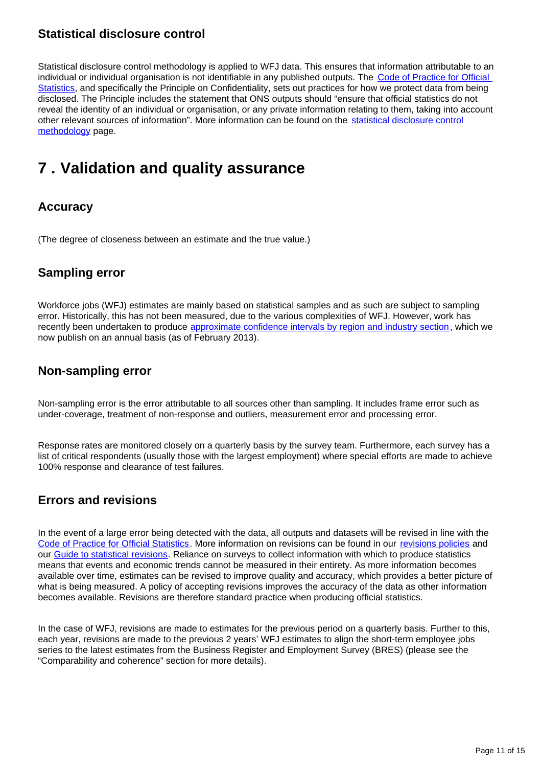## **Statistical disclosure control**

Statistical disclosure control methodology is applied to WFJ data. This ensures that information attributable to an individual or individual organisation is not identifiable in any published outputs. The Code of Practice for Official [Statistics](https://www.statisticsauthority.gov.uk/osr/code-of-practice/), and specifically the Principle on Confidentiality, sets out practices for how we protect data from being disclosed. The Principle includes the statement that ONS outputs should "ensure that official statistics do not reveal the identity of an individual or organisation, or any private information relating to them, taking into account other relevant sources of information". More information can be found on the [statistical disclosure control](https://www.ons.gov.uk/methodology/methodologytopicsandstatisticalconcepts/disclosurecontrol)  [methodology](https://www.ons.gov.uk/methodology/methodologytopicsandstatisticalconcepts/disclosurecontrol) page.

## <span id="page-10-0"></span>**7 . Validation and quality assurance**

### **Accuracy**

(The degree of closeness between an estimate and the true value.)

### **Sampling error**

Workforce jobs (WFJ) estimates are mainly based on statistical samples and as such are subject to sampling error. Historically, this has not been measured, due to the various complexities of WFJ. However, work has recently been undertaken to produce [approximate confidence intervals by region and industry section](http://www.ons.gov.uk/ons/guide-method/method-quality/specific/labour-market/articles-and-reports/index.html), which we now publish on an annual basis (as of February 2013).

### **Non-sampling error**

Non-sampling error is the error attributable to all sources other than sampling. It includes frame error such as under-coverage, treatment of non-response and outliers, measurement error and processing error.

Response rates are monitored closely on a quarterly basis by the survey team. Furthermore, each survey has a list of critical respondents (usually those with the largest employment) where special efforts are made to achieve 100% response and clearance of test failures.

### **Errors and revisions**

In the event of a large error being detected with the data, all outputs and datasets will be revised in line with the [Code of Practice for Official Statistics.](http://www.statisticsauthority.gov.uk/assessment/code-of-practice/index.html) More information on revisions can be found in our [revisions policies](https://www.ons.gov.uk/methodology/methodologytopicsandstatisticalconcepts/revisions) and our [Guide to statistical revisions.](https://www.ons.gov.uk/methodology/methodologytopicsandstatisticalconcepts/revisions/guidetostatisticalrevisions) Reliance on surveys to collect information with which to produce statistics means that events and economic trends cannot be measured in their entirety. As more information becomes available over time, estimates can be revised to improve quality and accuracy, which provides a better picture of what is being measured. A policy of accepting revisions improves the accuracy of the data as other information becomes available. Revisions are therefore standard practice when producing official statistics.

In the case of WFJ, revisions are made to estimates for the previous period on a quarterly basis. Further to this, each year, revisions are made to the previous 2 years' WFJ estimates to align the short-term employee jobs series to the latest estimates from the Business Register and Employment Survey (BRES) (please see the "Comparability and coherence" section for more details).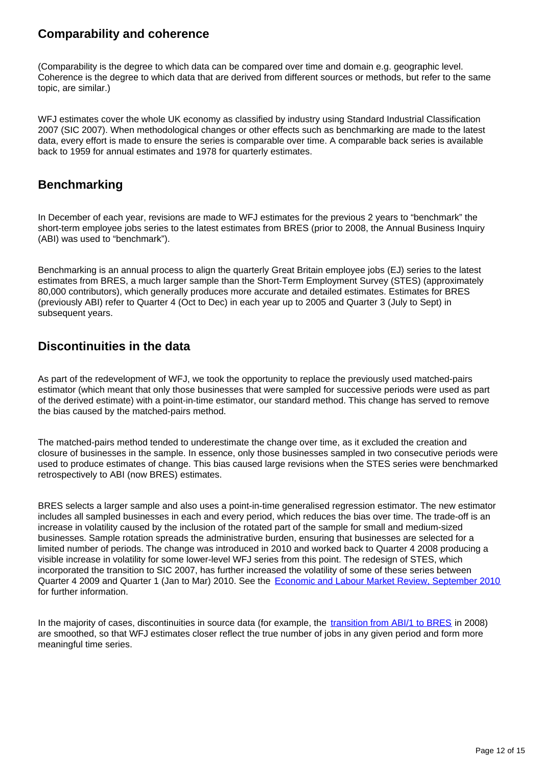## **Comparability and coherence**

(Comparability is the degree to which data can be compared over time and domain e.g. geographic level. Coherence is the degree to which data that are derived from different sources or methods, but refer to the same topic, are similar.)

WFJ estimates cover the whole UK economy as classified by industry using Standard Industrial Classification 2007 (SIC 2007). When methodological changes or other effects such as benchmarking are made to the latest data, every effort is made to ensure the series is comparable over time. A comparable back series is available back to 1959 for annual estimates and 1978 for quarterly estimates.

## **Benchmarking**

In December of each year, revisions are made to WFJ estimates for the previous 2 years to "benchmark" the short-term employee jobs series to the latest estimates from BRES (prior to 2008, the Annual Business Inquiry (ABI) was used to "benchmark").

Benchmarking is an annual process to align the quarterly Great Britain employee jobs (EJ) series to the latest estimates from BRES, a much larger sample than the Short-Term Employment Survey (STES) (approximately 80,000 contributors), which generally produces more accurate and detailed estimates. Estimates for BRES (previously ABI) refer to Quarter 4 (Oct to Dec) in each year up to 2005 and Quarter 3 (July to Sept) in subsequent years.

### **Discontinuities in the data**

As part of the redevelopment of WFJ, we took the opportunity to replace the previously used matched-pairs estimator (which meant that only those businesses that were sampled for successive periods were used as part of the derived estimate) with a point-in-time estimator, our standard method. This change has served to remove the bias caused by the matched-pairs method.

The matched-pairs method tended to underestimate the change over time, as it excluded the creation and closure of businesses in the sample. In essence, only those businesses sampled in two consecutive periods were used to produce estimates of change. This bias caused large revisions when the STES series were benchmarked retrospectively to ABI (now BRES) estimates.

BRES selects a larger sample and also uses a point-in-time generalised regression estimator. The new estimator includes all sampled businesses in each and every period, which reduces the bias over time. The trade-off is an increase in volatility caused by the inclusion of the rotated part of the sample for small and medium-sized businesses. Sample rotation spreads the administrative burden, ensuring that businesses are selected for a limited number of periods. The change was introduced in 2010 and worked back to Quarter 4 2008 producing a visible increase in volatility for some lower-level WFJ series from this point. The redesign of STES, which incorporated the transition to SIC 2007, has further increased the volatility of some of these series between Quarter 4 2009 and Quarter 1 (Jan to Mar) 2010. See the [Economic and Labour Market Review, September 2010](http://www.ons.gov.uk/ons/rel/elmr/economic-and-labour-market-review/no--9--september-2010/revisions-to-workforce-jobs.pdf) for further information.

In the majority of cases, discontinuities in source data (for example, the [transition from ABI/1 to BRES](http://www.ons.gov.uk/ons/rel/bus-register/business-register-employment-survey/2010/ard-bres-discontinuity-article.pdf) in 2008) are smoothed, so that WFJ estimates closer reflect the true number of jobs in any given period and form more meaningful time series.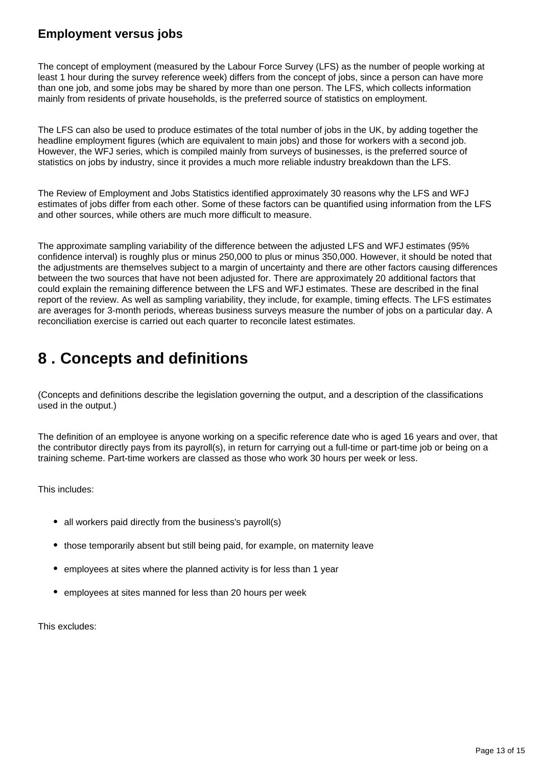## **Employment versus jobs**

The concept of employment (measured by the Labour Force Survey (LFS) as the number of people working at least 1 hour during the survey reference week) differs from the concept of jobs, since a person can have more than one job, and some jobs may be shared by more than one person. The LFS, which collects information mainly from residents of private households, is the preferred source of statistics on employment.

The LFS can also be used to produce estimates of the total number of jobs in the UK, by adding together the headline employment figures (which are equivalent to main jobs) and those for workers with a second job. However, the WFJ series, which is compiled mainly from surveys of businesses, is the preferred source of statistics on jobs by industry, since it provides a much more reliable industry breakdown than the LFS.

The Review of Employment and Jobs Statistics identified approximately 30 reasons why the LFS and WFJ estimates of jobs differ from each other. Some of these factors can be quantified using information from the LFS and other sources, while others are much more difficult to measure.

The approximate sampling variability of the difference between the adjusted LFS and WFJ estimates (95% confidence interval) is roughly plus or minus 250,000 to plus or minus 350,000. However, it should be noted that the adjustments are themselves subject to a margin of uncertainty and there are other factors causing differences between the two sources that have not been adjusted for. There are approximately 20 additional factors that could explain the remaining difference between the LFS and WFJ estimates. These are described in the final report of the review. As well as sampling variability, they include, for example, timing effects. The LFS estimates are averages for 3-month periods, whereas business surveys measure the number of jobs on a particular day. A reconciliation exercise is carried out each quarter to reconcile latest estimates.

## <span id="page-12-0"></span>**8 . Concepts and definitions**

(Concepts and definitions describe the legislation governing the output, and a description of the classifications used in the output.)

The definition of an employee is anyone working on a specific reference date who is aged 16 years and over, that the contributor directly pays from its payroll(s), in return for carrying out a full-time or part-time job or being on a training scheme. Part-time workers are classed as those who work 30 hours per week or less.

This includes:

- all workers paid directly from the business's payroll(s)
- those temporarily absent but still being paid, for example, on maternity leave
- employees at sites where the planned activity is for less than 1 year
- employees at sites manned for less than 20 hours per week

This excludes: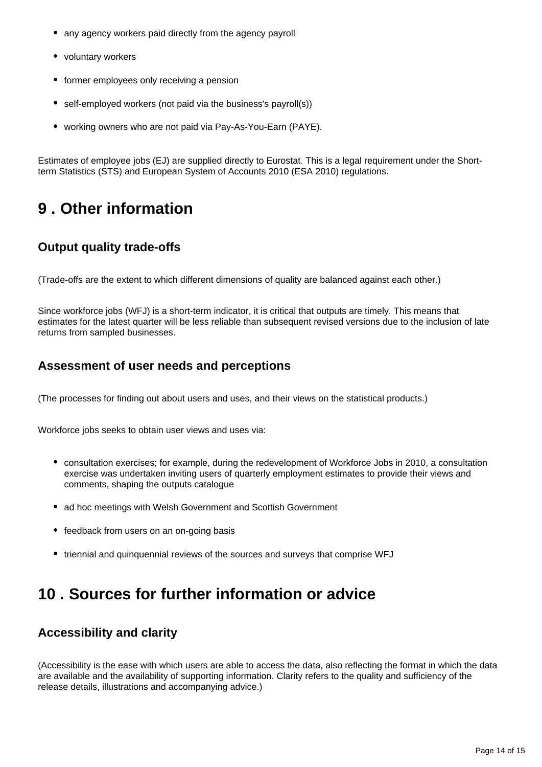- any agency workers paid directly from the agency payroll
- voluntary workers
- former employees only receiving a pension
- self-employed workers (not paid via the business's payroll(s))
- working owners who are not paid via Pay-As-You-Earn (PAYE).

Estimates of employee jobs (EJ) are supplied directly to Eurostat. This is a legal requirement under the Shortterm Statistics (STS) and European System of Accounts 2010 (ESA 2010) regulations.

## <span id="page-13-0"></span>**9 . Other information**

## **Output quality trade-offs**

(Trade-offs are the extent to which different dimensions of quality are balanced against each other.)

Since workforce jobs (WFJ) is a short-term indicator, it is critical that outputs are timely. This means that estimates for the latest quarter will be less reliable than subsequent revised versions due to the inclusion of late returns from sampled businesses.

### **Assessment of user needs and perceptions**

(The processes for finding out about users and uses, and their views on the statistical products.)

Workforce jobs seeks to obtain user views and uses via:

- consultation exercises; for example, during the redevelopment of Workforce Jobs in 2010, a consultation exercise was undertaken inviting users of quarterly employment estimates to provide their views and comments, shaping the outputs catalogue
- ad hoc meetings with Welsh Government and Scottish Government
- feedback from users on an on-going basis
- triennial and quinquennial reviews of the sources and surveys that comprise WFJ

## <span id="page-13-1"></span>**10 . Sources for further information or advice**

#### **Accessibility and clarity**

(Accessibility is the ease with which users are able to access the data, also reflecting the format in which the data are available and the availability of supporting information. Clarity refers to the quality and sufficiency of the release details, illustrations and accompanying advice.)